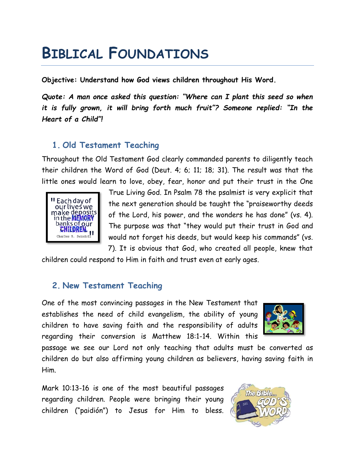# **BIBLICAL FOUNDATIONS**

**Objective: Understand how God views children throughout His Word.**

*Quote: A man once asked this question: "Where can I plant this seed so when it is fully grown, it will bring forth much fruit"? Someone replied: "In the Heart of a Child"!*

## **1. Old Testament Teaching**

Throughout the Old Testament God clearly commanded parents to diligently teach their children the Word of God (Deut. 4; 6; 11; 18; 31). The result was that the little ones would learn to love, obey, fear, honor and put their trust in the One



True Living God. In Psalm 78 the psalmist is very explicit that the next generation should be taught the "praiseworthy deeds of the Lord, his power, and the wonders he has done" (vs. 4). The purpose was that "they would put their trust in God and would not forget his deeds, but would keep his commands" (vs. 7). It is obvious that God, who created all people, knew that

children could respond to Him in faith and trust even at early ages.

## **2. New Testament Teaching**

One of the most convincing passages in the New Testament that establishes the need of child evangelism, the ability of young children to have saving faith and the responsibility of adults regarding their conversion is Matthew 18:1-14. Within this



passage we see our Lord not only teaching that adults must be converted as children do but also affirming young children as believers, having saving faith in Him.

Mark 10:13-16 is one of the most beautiful passages regarding children. People were bringing their young children ("paidión") to Jesus for Him to bless.

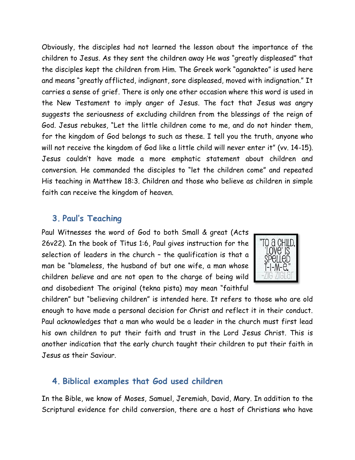Obviously, the disciples had not learned the lesson about the importance of the children to Jesus. As they sent the children away He was "greatly displeased" that the disciples kept the children from Him. The Greek work "aganakteo" is used here and means "greatly afflicted, indignant, sore displeased, moved with indignation." It carries a sense of grief. There is only one other occasion where this word is used in the New Testament to imply anger of Jesus. The fact that Jesus was angry suggests the seriousness of excluding children from the blessings of the reign of God. Jesus rebukes, "Let the little children come to me, and do not hinder them, for the kingdom of God belongs to such as these. I tell you the truth, anyone who will not receive the kingdom of God like a little child will never enter it" (vv. 14-15). Jesus couldn't have made a more emphatic statement about children and conversion. He commanded the disciples to "let the children come" and repeated His teaching in Matthew 18:3. Children and those who believe as children in simple faith can receive the kingdom of heaven.

#### **3. Paul's Teaching**

Paul Witnesses the word of God to both Small & great (Acts 26v22). In the book of Titus 1:6, Paul gives instruction for the selection of leaders in the church – the qualification is that a man be "blameless, the husband of but one wife, a man whose children *believe* and are not open to the charge of being wild and disobedient The original (tekna pista) may mean "faithful



children" but "believing children" is intended here. It refers to those who are old enough to have made a personal decision for Christ and reflect it in their conduct. Paul acknowledges that a man who would be a leader in the church must first lead his own children to put their faith and trust in the Lord Jesus Christ. This is another indication that the early church taught their children to put their faith in Jesus as their Saviour.

#### **4. Biblical examples that God used children**

In the Bible, we know of Moses, Samuel, Jeremiah, David, Mary. In addition to the Scriptural evidence for child conversion, there are a host of Christians who have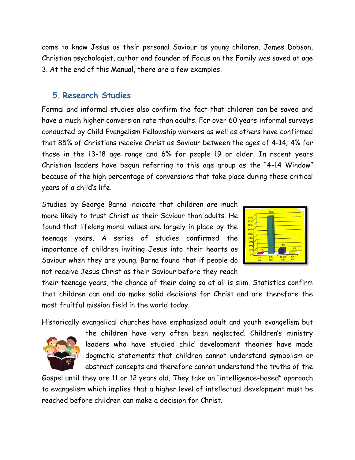come to know Jesus as their personal Saviour as young children. James Dobson, Christian psychologist, author and founder of Focus on the Family was saved at age 3. At the end of this Manual, there are a few examples.

### **5. Research Studies**

Formal and informal studies also confirm the fact that children can be saved and have a much higher conversion rate than adults. For over 60 years informal surveys conducted by Child Evangelism Fellowship workers as well as others have confirmed that 85% of Christians receive Christ as Saviour between the ages of 4-14; 4% for those in the 13-18 age range and 6% for people 19 or older. In recent years Christian leaders have begun referring to this age group as the "4-14 Window" because of the high percentage of conversions that take place during these critical years of a child's life.

Studies by George Barna indicate that children are much more likely to trust Christ as their Saviour than adults. He found that lifelong moral values are largely in place by the teenage years. A series of studies confirmed the importance of children inviting Jesus into their hearts as Saviour when they are young. Barna found that if people do not receive Jesus Christ as their Saviour before they reach



their teenage years, the chance of their doing so at all is slim. Statistics confirm that children can and do make solid decisions for Christ and are therefore the most fruitful mission field in the world today.

Historically evangelical churches have emphasized adult and youth evangelism but



the children have very often been neglected. Children's ministry leaders who have studied child development theories have made dogmatic statements that children cannot understand symbolism or abstract concepts and therefore cannot understand the truths of the

Gospel until they are 11 or 12 years old. They take an "intelligence-based" approach to evangelism which implies that a higher level of intellectual development must be reached before children can make a decision for Christ.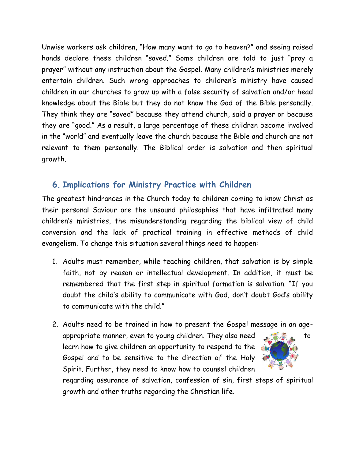Unwise workers ask children, "How many want to go to heaven?" and seeing raised hands declare these children "saved." Some children are told to just "pray a prayer" without any instruction about the Gospel. Many children's ministries merely entertain children. Such wrong approaches to children's ministry have caused children in our churches to grow up with a false security of salvation and/or head knowledge about the Bible but they do not know the God of the Bible personally. They think they are "saved" because they attend church, said a prayer or because they are "good." As a result, a large percentage of these children become involved in the "world" and eventually leave the church because the Bible and church are not relevant to them personally. The Biblical order is salvation and then spiritual growth.

## **6. Implications for Ministry Practice with Children**

The greatest hindrances in the Church today to children coming to know Christ as their personal Saviour are the unsound philosophies that have infiltrated many children's ministries, the misunderstanding regarding the biblical view of child conversion and the lack of practical training in effective methods of child evangelism. To change this situation several things need to happen:

- 1. Adults must remember, while teaching children, that salvation is by simple faith, not by reason or intellectual development. In addition, it must be remembered that the first step in spiritual formation is salvation. "If you doubt the child's ability to communicate with God, don't doubt God's ability to communicate with the child."
- 2. Adults need to be trained in how to present the Gospel message in an ageappropriate manner, even to young children. They also need  $\mathbb{R}$ learn how to give children an opportunity to respond to the Gospel and to be sensitive to the direction of the Holy Spirit. Further, they need to know how to counsel children

regarding assurance of salvation, confession of sin, first steps of spiritual growth and other truths regarding the Christian life.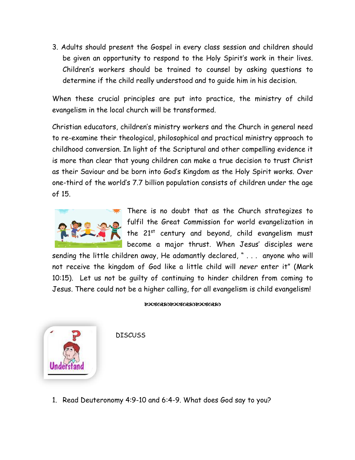3. Adults should present the Gospel in every class session and children should be given an opportunity to respond to the Holy Spirit's work in their lives. Children's workers should be trained to counsel by asking questions to determine if the child really understood and to guide him in his decision.

When these crucial principles are put into practice, the ministry of child evangelism in the local church will be transformed.

Christian educators, children's ministry workers and the Church in general need to re-examine their theological, philosophical and practical ministry approach to childhood conversion. In light of the Scriptural and other compelling evidence it is more than clear that young children can make a true decision to trust Christ as their Saviour and be born into God's Kingdom as the Holy Spirit works. Over one-third of the world's 7.7 billion population consists of children under the age of 15.



There is no doubt that as the Church strategizes to fulfil the Great Commission for world evangelization in the 21st century and beyond, child evangelism must become a major thrust. When Jesus' disciples were

sending the little children away, He adamantly declared, " . . . anyone who will not receive the kingdom of God like a little child will *never* enter it" (Mark 10:15). Let us not be guilty of continuing to hinder children from coming to Jesus. There could not be a higher calling, for all evangelism is child evangelism!

#### **EUCKREDEUCKREDEUCKRED**



**DISCUSS** 

1. Read Deuteronomy 4:9-10 and 6:4-9. What does God say to you?